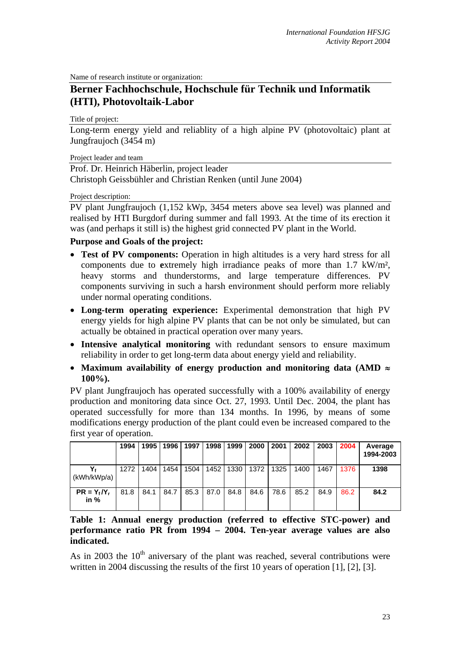Name of research institute or organization:

## **Berner Fachhochschule, Hochschule für Technik und Informatik (HTI), Photovoltaik-Labor**

Title of project:

Long-term energy yield and reliablity of a high alpine PV (photovoltaic) plant at Jungfraujoch (3454 m)

Project leader and team

Prof. Dr. Heinrich Häberlin, project leader Christoph Geissbühler and Christian Renken (until June 2004)

Project description:

PV plant Jungfraujoch (1,152 kWp, 3454 meters above sea level) was planned and realised by HTI Burgdorf during summer and fall 1993. At the time of its erection it was (and perhaps it still is) the highest grid connected PV plant in the World.

## **Purpose and Goals of the project:**

- **Test of PV components:** Operation in high altitudes is a very hard stress for all components due to **e**xtremely high irradiance peaks of more than 1.7 kW/m², heavy storms and thunderstorms, and large temperature differences. PV components surviving in such a harsh environment should perform more reliably under normal operating conditions.
- **Long-term operating experience:** Experimental demonstration that high PV energy yields for high alpine PV plants that can be not only be simulated, but can actually be obtained in practical operation over many years.
- **Intensive analytical monitoring** with redundant sensors to ensure maximum reliability in order to get long-term data about energy yield and reliability.
- **Maximum availability of energy production and monitoring data (AMD** ≈ **100%).**

PV plant Jungfraujoch has operated successfully with a 100% availability of energy production and monitoring data since Oct. 27, 1993. Until Dec. 2004, the plant has operated successfully for more than 134 months. In 1996, by means of some modifications energy production of the plant could even be increased compared to the first year of operation.

|                          | 1994 | 1995 | 1996 | 1997 | 1998 | 1999 | 2000 | 2001 | 2002 | 2003 | 2004 | Average<br>1994-2003 |
|--------------------------|------|------|------|------|------|------|------|------|------|------|------|----------------------|
| (kWh/kWp/a)              | 1272 | 1404 | 1454 | 1504 | 1452 | 1330 | 1372 | 1325 | 1400 | 1467 | 1376 | 1398                 |
| $PR = Y_f/Y_r$<br>in $%$ | 81.8 | 84.1 | 84.7 | 85.3 | 87.0 | 84.8 | 84.6 | 78.6 | 85.2 | 84.9 | 86.2 | 84.2                 |

**Table 1: Annual energy production (referred to effective STC-power) and performance ratio PR from 1994 – 2004. Ten-year average values are also indicated.** 

As in 2003 the  $10<sup>th</sup>$  aniversary of the plant was reached, several contributions were written in 2004 discussing the results of the first 10 years of operation [1], [2], [3].